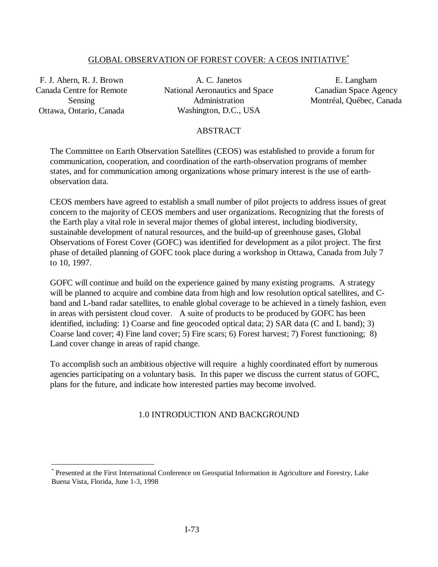# GLOBAL OBSERVATION OF FOREST COVER: A CEOS INITIATIVE\*

F. J. Ahern, R. J. Brown Canada Centre for Remote Sensing Ottawa, Ontario, Canada

 $\overline{a}$ 

A. C. Janetos National Aeronautics and Space Administration Washington, D.C., USA

E. Langham Canadian Space Agency Montréal, Québec, Canada

## ABSTRACT

The Committee on Earth Observation Satellites (CEOS) was established to provide a forum for communication, cooperation, and coordination of the earth-observation programs of member states, and for communication among organizations whose primary interest is the use of earthobservation data.

CEOS members have agreed to establish a small number of pilot projects to address issues of great concern to the majority of CEOS members and user organizations. Recognizing that the forests of the Earth play a vital role in several major themes of global interest, including biodiversity, sustainable development of natural resources, and the build-up of greenhouse gases, Global Observations of Forest Cover (GOFC) was identified for development as a pilot project. The first phase of detailed planning of GOFC took place during a workshop in Ottawa, Canada from July 7 to 10, 1997.

GOFC will continue and build on the experience gained by many existing programs. A strategy will be planned to acquire and combine data from high and low resolution optical satellites, and Cband and L-band radar satellites, to enable global coverage to be achieved in a timely fashion, even in areas with persistent cloud cover. A suite of products to be produced by GOFC has been identified, including: 1) Coarse and fine geocoded optical data; 2) SAR data (C and L band); 3) Coarse land cover; 4) Fine land cover; 5) Fire scars; 6) Forest harvest; 7) Forest functioning; 8) Land cover change in areas of rapid change.

To accomplish such an ambitious objective will require a highly coordinated effort by numerous agencies participating on a voluntary basis. In this paper we discuss the current status of GOFC, plans for the future, and indicate how interested parties may become involved.

# 1.0 INTRODUCTION AND BACKGROUND

<sup>\*</sup> Presented at the First International Conference on Geospatial Information in Agriculture and Forestry, Lake Buena Vista, Florida, June 1-3, 1998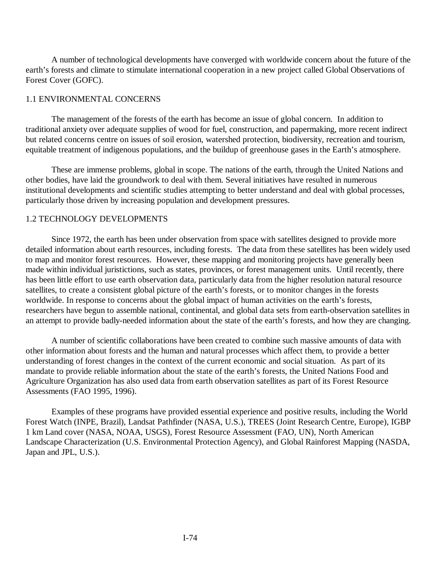A number of technological developments have converged with worldwide concern about the future of the earth's forests and climate to stimulate international cooperation in a new project called Global Observations of Forest Cover (GOFC).

### 1.1 ENVIRONMENTAL CONCERNS

The management of the forests of the earth has become an issue of global concern. In addition to traditional anxiety over adequate supplies of wood for fuel, construction, and papermaking, more recent indirect but related concerns centre on issues of soil erosion, watershed protection, biodiversity, recreation and tourism, equitable treatment of indigenous populations, and the buildup of greenhouse gases in the Earth's atmosphere.

These are immense problems, global in scope. The nations of the earth, through the United Nations and other bodies, have laid the groundwork to deal with them. Several initiatives have resulted in numerous institutional developments and scientific studies attempting to better understand and deal with global processes, particularly those driven by increasing population and development pressures.

## 1.2 TECHNOLOGY DEVELOPMENTS

Since 1972, the earth has been under observation from space with satellites designed to provide more detailed information about earth resources, including forests. The data from these satellites has been widely used to map and monitor forest resources. However, these mapping and monitoring projects have generally been made within individual juristictions, such as states, provinces, or forest management units. Until recently, there has been little effort to use earth observation data, particularly data from the higher resolution natural resource satellites, to create a consistent global picture of the earth's forests, or to monitor changes in the forests worldwide. In response to concerns about the global impact of human activities on the earth's forests, researchers have begun to assemble national, continental, and global data sets from earth-observation satellites in an attempt to provide badly-needed information about the state of the earth's forests, and how they are changing.

A number of scientific collaborations have been created to combine such massive amounts of data with other information about forests and the human and natural processes which affect them, to provide a better understanding of forest changes in the context of the current economic and social situation. As part of its mandate to provide reliable information about the state of the earth's forests, the United Nations Food and Agriculture Organization has also used data from earth observation satellites as part of its Forest Resource Assessments (FAO 1995, 1996).

Examples of these programs have provided essential experience and positive results, including the World Forest Watch (INPE, Brazil), Landsat Pathfinder (NASA, U.S.), TREES (Joint Research Centre, Europe), IGBP 1 km Land cover (NASA, NOAA, USGS), Forest Resource Assessment (FAO, UN), North American Landscape Characterization (U.S. Environmental Protection Agency), and Global Rainforest Mapping (NASDA, Japan and JPL, U.S.).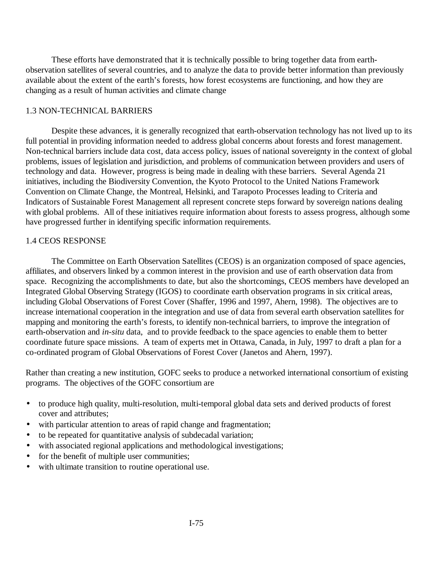These efforts have demonstrated that it is technically possible to bring together data from earthobservation satellites of several countries, and to analyze the data to provide better information than previously available about the extent of the earth's forests, how forest ecosystems are functioning, and how they are changing as a result of human activities and climate change

# 1.3 NON-TECHNICAL BARRIERS

Despite these advances, it is generally recognized that earth-observation technology has not lived up to its full potential in providing information needed to address global concerns about forests and forest management. Non-technical barriers include data cost, data access policy, issues of national sovereignty in the context of global problems, issues of legislation and jurisdiction, and problems of communication between providers and users of technology and data. However, progress is being made in dealing with these barriers. Several Agenda 21 initiatives, including the Biodiversity Convention, the Kyoto Protocol to the United Nations Framework Convention on Climate Change, the Montreal, Helsinki, and Tarapoto Processes leading to Criteria and Indicators of Sustainable Forest Management all represent concrete steps forward by sovereign nations dealing with global problems. All of these initiatives require information about forests to assess progress, although some have progressed further in identifying specific information requirements.

# 1.4 CEOS RESPONSE

The Committee on Earth Observation Satellites (CEOS) is an organization composed of space agencies, affiliates, and observers linked by a common interest in the provision and use of earth observation data from space. Recognizing the accomplishments to date, but also the shortcomings, CEOS members have developed an Integrated Global Observing Strategy (IGOS) to coordinate earth observation programs in six critical areas, including Global Observations of Forest Cover (Shaffer, 1996 and 1997, Ahern, 1998). The objectives are to increase international cooperation in the integration and use of data from several earth observation satellites for mapping and monitoring the earth's forests, to identify non-technical barriers, to improve the integration of earth-observation and *in-situ* data, and to provide feedback to the space agencies to enable them to better coordinate future space missions. A team of experts met in Ottawa, Canada, in July, 1997 to draft a plan for a co-ordinated program of Global Observations of Forest Cover (Janetos and Ahern, 1997).

Rather than creating a new institution, GOFC seeks to produce a networked international consortium of existing programs. The objectives of the GOFC consortium are

- to produce high quality, multi-resolution, multi-temporal global data sets and derived products of forest cover and attributes;
- with particular attention to areas of rapid change and fragmentation;
- to be repeated for quantitative analysis of subdecadal variation;
- with associated regional applications and methodological investigations;
- for the benefit of multiple user communities;
- with ultimate transition to routine operational use.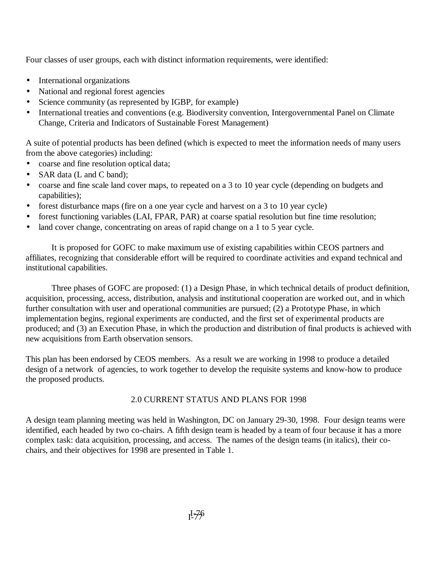Four classes of user groups, each with distinct information requirements, were identified:

- International organizations
- National and regional forest agencies
- Science community (as represented by IGBP, for example)
- International treaties and conventions (e.g. Biodiversity convention, Intergovernmental Panel on Climate Change, Criteria and Indicators of Sustainable Forest Management)

A suite of potential products has been defined (which is expected to meet the information needs of many users from the above categories) including:

- coarse and fine resolution optical data;
- SAR data (L and C band);
- coarse and fine scale land cover maps, to repeated on a 3 to 10 year cycle (depending on budgets and capabilities);
- forest disturbance maps (fire on a one year cycle and harvest on a 3 to 10 year cycle)
- forest functioning variables (LAI, FPAR, PAR) at coarse spatial resolution but fine time resolution;
- land cover change, concentrating on areas of rapid change on a 1 to 5 year cycle.

It is proposed for GOFC to make maximum use of existing capabilities within CEOS partners and affiliates, recognizing that considerable effort will be required to coordinate activities and expand technical and institutional capabilities.

Three phases of GOFC are proposed: (1) a Design Phase, in which technical details of product definition, acquisition, processing, access, distribution, analysis and institutional cooperation are worked out, and in which further consultation with user and operational communities are pursued; (2) a Prototype Phase, in which implementation begins, regional experiments are conducted, and the first set of experimental products are produced; and (3) an Execution Phase, in which the production and distribution of final products is achieved with new acquisitions from Earth observation sensors.

This plan has been endorsed by CEOS members. As a result we are working in 1998 to produce a detailed design of a network of agencies, to work together to develop the requisite systems and know-how to produce the proposed products.

# 2.0 CURRENT STATUS AND PLANS FOR 1998

A design team planning meeting was held in Washington, DC on January 29-30, 1998. Four design teams were identified, each headed by two co-chairs. A fifth design team is headed by a team of four because it has a more complex task: data acquisition, processing, and access. The names of the design teams (in italics), their cochairs, and their objectives for 1998 are presented in Table 1.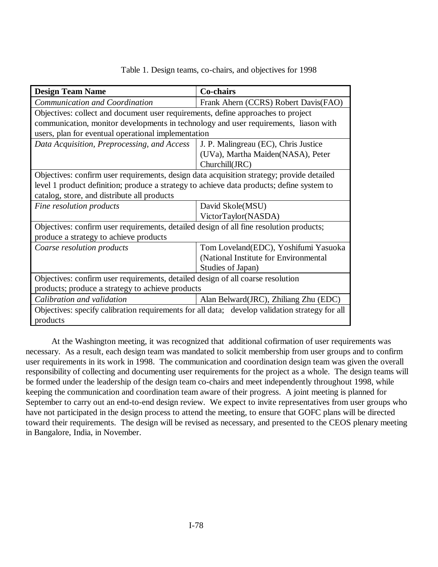| Table 1. Design teams, co-chairs, and objectives for 1998 |  |  |  |
|-----------------------------------------------------------|--|--|--|
|-----------------------------------------------------------|--|--|--|

| <b>Design Team Name</b>                                                                        | Co-chairs                             |  |  |
|------------------------------------------------------------------------------------------------|---------------------------------------|--|--|
| Communication and Coordination                                                                 | Frank Ahern (CCRS) Robert Davis(FAO)  |  |  |
| Objectives: collect and document user requirements, define approaches to project               |                                       |  |  |
| communication, monitor developments in technology and user requirements, liason with           |                                       |  |  |
| users, plan for eventual operational implementation                                            |                                       |  |  |
| Data Acquisition, Preprocessing, and Access                                                    | J. P. Malingreau (EC), Chris Justice  |  |  |
|                                                                                                | (UVa), Martha Maiden(NASA), Peter     |  |  |
|                                                                                                | Churchill(JRC)                        |  |  |
| Objectives: confirm user requirements, design data acquisition strategy; provide detailed      |                                       |  |  |
| level 1 product definition; produce a strategy to achieve data products; define system to      |                                       |  |  |
| catalog, store, and distribute all products                                                    |                                       |  |  |
| Fine resolution products                                                                       | David Skole(MSU)                      |  |  |
|                                                                                                | VictorTaylor(NASDA)                   |  |  |
| Objectives: confirm user requirements, detailed design of all fine resolution products;        |                                       |  |  |
| produce a strategy to achieve products                                                         |                                       |  |  |
| Coarse resolution products                                                                     | Tom Loveland(EDC), Yoshifumi Yasuoka  |  |  |
|                                                                                                | (National Institute for Environmental |  |  |
|                                                                                                | Studies of Japan)                     |  |  |
| Objectives: confirm user requirements, detailed design of all coarse resolution                |                                       |  |  |
| products; produce a strategy to achieve products                                               |                                       |  |  |
| Calibration and validation                                                                     | Alan Belward(JRC), Zhiliang Zhu (EDC) |  |  |
| Objectives: specify calibration requirements for all data; develop validation strategy for all |                                       |  |  |
| products                                                                                       |                                       |  |  |

At the Washington meeting, it was recognized that additional cofirmation of user requirements was necessary. As a result, each design team was mandated to solicit membership from user groups and to confirm user requirements in its work in 1998. The communication and coordination design team was given the overall responsibility of collecting and documenting user requirements for the project as a whole. The design teams will be formed under the leadership of the design team co-chairs and meet independently throughout 1998, while keeping the communication and coordination team aware of their progress. A joint meeting is planned for September to carry out an end-to-end design review. We expect to invite representatives from user groups who have not participated in the design process to attend the meeting, to ensure that GOFC plans will be directed toward their requirements. The design will be revised as necessary, and presented to the CEOS plenary meeting in Bangalore, India, in November.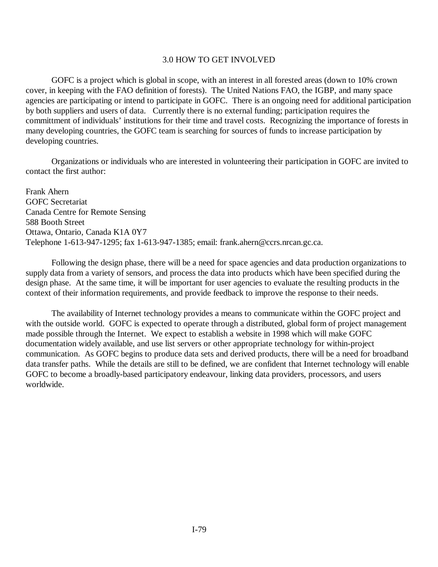## 3.0 HOW TO GET INVOLVED

GOFC is a project which is global in scope, with an interest in all forested areas (down to 10% crown cover, in keeping with the FAO definition of forests). The United Nations FAO, the IGBP, and many space agencies are participating or intend to participate in GOFC. There is an ongoing need for additional participation by both suppliers and users of data. Currently there is no external funding; participation requires the committment of individuals' institutions for their time and travel costs. Recognizing the importance of forests in many developing countries, the GOFC team is searching for sources of funds to increase participation by developing countries.

Organizations or individuals who are interested in volunteering their participation in GOFC are invited to contact the first author:

Frank Ahern GOFC Secretariat Canada Centre for Remote Sensing 588 Booth Street Ottawa, Ontario, Canada K1A 0Y7 Telephone 1-613-947-1295; fax 1-613-947-1385; email: frank.ahern@ccrs.nrcan.gc.ca.

Following the design phase, there will be a need for space agencies and data production organizations to supply data from a variety of sensors, and process the data into products which have been specified during the design phase. At the same time, it will be important for user agencies to evaluate the resulting products in the context of their information requirements, and provide feedback to improve the response to their needs.

The availability of Internet technology provides a means to communicate within the GOFC project and with the outside world. GOFC is expected to operate through a distributed, global form of project management made possible through the Internet. We expect to establish a website in 1998 which will make GOFC documentation widely available, and use list servers or other appropriate technology for within-project communication. As GOFC begins to produce data sets and derived products, there will be a need for broadband data transfer paths. While the details are still to be defined, we are confident that Internet technology will enable GOFC to become a broadly-based participatory endeavour, linking data providers, processors, and users worldwide.